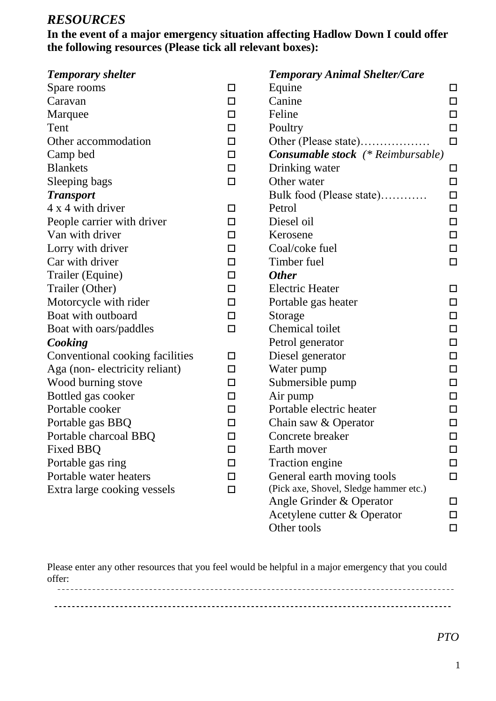## *RESOURCES*

### **In the event of a major emergency situation affecting Hadlow Down I could offer the following resources (Please tick all relevant boxes):**

| <b>Temporary shelter</b>        |        | <b>Temporary Animal Shelter/Care</b>     |        |
|---------------------------------|--------|------------------------------------------|--------|
| Spare rooms                     | $\Box$ | Equine                                   | □      |
| Caravan                         | □      | Canine                                   | $\Box$ |
| Marquee                         | $\Box$ | Feline                                   | $\Box$ |
| Tent                            | $\Box$ | Poultry                                  | $\Box$ |
| Other accommodation             | □      | Other (Please state)                     | $\Box$ |
| Camp bed                        | $\Box$ | <b>Consumable stock</b> (* Reimbursable) |        |
| <b>Blankets</b>                 | $\Box$ | Drinking water                           | □      |
| Sleeping bags                   | □      | Other water                              | $\Box$ |
| <b>Transport</b>                |        | Bulk food (Please state)                 | $\Box$ |
| 4 x 4 with driver               | □      | Petrol                                   | □      |
| People carrier with driver      | □      | Diesel oil                               | $\Box$ |
| Van with driver                 | $\Box$ | Kerosene                                 | $\Box$ |
| Lorry with driver               | □      | Coal/coke fuel                           | $\Box$ |
| Car with driver                 | □      | Timber fuel                              | $\Box$ |
| Trailer (Equine)                | $\Box$ | <b>Other</b>                             |        |
| Trailer (Other)                 | $\Box$ | <b>Electric Heater</b>                   | □      |
| Motorcycle with rider           | □      | Portable gas heater                      | $\Box$ |
| Boat with outboard              | $\Box$ | Storage                                  | $\Box$ |
| Boat with oars/paddles          | $\Box$ | Chemical toilet                          | $\Box$ |
| Cooking                         |        | Petrol generator                         | $\Box$ |
| Conventional cooking facilities | □      | Diesel generator                         | $\Box$ |
| Aga (non-electricity reliant)   | □      | Water pump                               | $\Box$ |
| Wood burning stove              | $\Box$ | Submersible pump                         | □      |
| Bottled gas cooker              | □      | Air pump                                 | □      |
| Portable cooker                 | □      | Portable electric heater                 | $\Box$ |
| Portable gas BBQ                | $\Box$ | Chain saw & Operator                     | $\Box$ |
| Portable charcoal BBQ           | П      | Concrete breaker                         | $\Box$ |
| Fixed BBQ                       | □      | Earth mover                              | □      |
| Portable gas ring               | □      | <b>Traction engine</b>                   | $\Box$ |
| Portable water heaters          | ΙI     | General earth moving tools               | $\Box$ |
| Extra large cooking vessels     | П      | (Pick axe, Shovel, Sledge hammer etc.)   |        |
|                                 |        | Angle Grinder & Operator                 | □      |
|                                 |        | Acetylene cutter & Operator              | $\Box$ |
|                                 |        | Other tools                              | $\Box$ |

Please enter any other resources that you feel would be helpful in a major emergency that you could offer:

| ------- |  | --- |
|---------|--|-----|
|         |  |     |
|         |  |     |
|         |  |     |
|         |  |     |

*PTO*